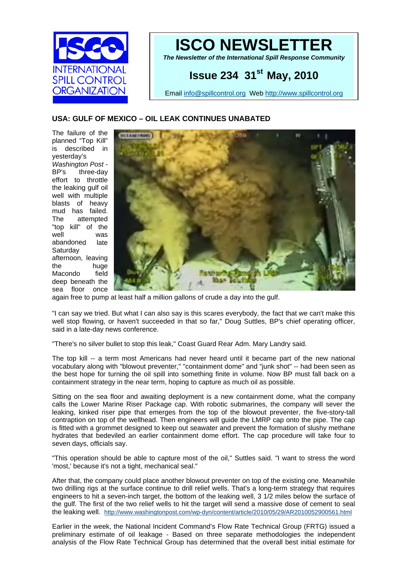



*The Newsletter of the International Spill Response Community* 

# **Issue 234 31st May, 2010**

Email [info@spillcontrol.org](mailto:info@spillcontrol.org) Web [http://www.spillcontrol.org](http://www.spillcontrol.org/) 

# **USA: GULF OF MEXICO – OIL LEAK CONTINUES UNABATED**

The failure of the planned "Top Kill" is described in yesterday's *Washington Post -*  BP's three-day effort to throttle the leaking gulf oil well with multiple blasts of heavy mud has failed. The attempted "top kill" of the well was abandone **Saturday** afternoon, leaving the huge Macondo field deep beneath the sea floor once late



again free to pump at least half a million gall ons of crude a day into the gulf.

"I can say we tried. But what I can also say is this scares everybody, the fact that we can't make this well stop flowing, or haven't succeeded in that so far," Doug Suttles, BP's chief operating officer, said in a late-day news conference.

"There's no silver bullet to stop this leak," Coast Guard Rear Adm. Mary Landry said.

The top kill -- a term most Americans had never heard until it became part of the new national vocabulary along with "blowout preventer," "containment dome" and "junk shot" -- had been seen as the best hope for turning the oil spill into something finite in volume. Now BP must fall back on a containment strategy in the near term, hoping to capture as much oil as possible.

Sitting on the sea floor and awaiting deployment is a new containment dome, what the company calls the Lower Marine Riser Package cap. With robotic submarines, the company will sever the leaking, kinked riser pipe that emerges from the top of the blowout preventer, the five-story-tall contraption on top of the wellhead. Then engineers will guide the LMRP cap onto the pipe. The cap is fitted with a grommet designed to keep out seawater and prevent the formation of slushy methane hydrates that bedeviled an earlier containment dome effort. The cap procedure will take four to seven days, officials say.

"This operation should be able to capture most of the oil," Suttles said. "I want to stress the word 'most,' because it's not a tight, mechanical seal."

After that, the company could place another blowout preventer on top of the existing one. Meanwhile two drilling rigs at the surface continue to drill relief wells. That's a long-term strategy that requires engineers to hit a seven-inch target, the bottom of the leaking well, 3 1/2 miles below the surface of the gulf. The first of the two relief wells to hit the target will send a massive dose of cement to seal the leaking well. <http://www.washingtonpost.com/wp-dyn/content/article/2010/05/29/AR2010052900561.html>

Earlier in the week, the National Incident Command's Flow Rate Technical Group (FRTG) issued a preliminary estimate of oil leakage - Based on three separate methodologies the independent analysis of the Flow Rate Technical Group has determined that the overall best initial estimate for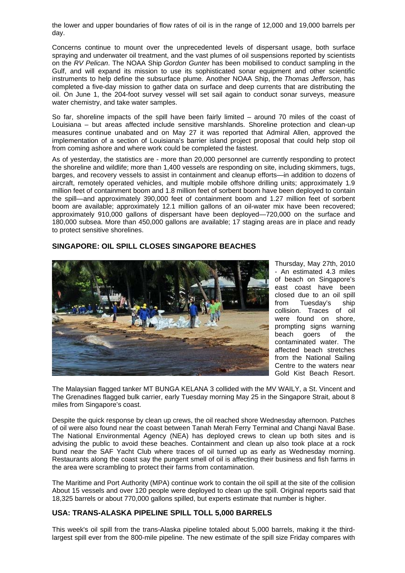the lower and upper boundaries of flow rates of oil is in the range of 12,000 and 19,000 barrels per day.

Concerns continue to mount over the unprecedented levels of dispersant usage, both surface spraying and underwater oil treatment, and the vast plumes of oil suspensions reported by scientists on the *RV Pelican*. The NOAA Ship *Gordon Gunter* has been mobilised to conduct sampling in the Gulf, and will expand its mission to use its sophisticated sonar equipment and other scientific instruments to help define the subsurface plume. Another NOAA Ship, the *Thomas Jefferson*, has completed a five-day mission to gather data on surface and deep currents that are distributing the oil. On June 1, the 204-foot survey vessel will set sail again to conduct sonar surveys, measure water chemistry, and take water samples.

So far, shoreline impacts of the spill have been fairly limited – around 70 miles of the coast of Louisiana – but areas affected include sensitive marshlands. Shoreline protection and clean-up measures continue unabated and on May 27 it was reported that Admiral Allen, approved the implementation of a section of Louisiana's barrier island project proposal that could help stop oil from coming ashore and where work could be completed the fastest.

 As of yesterday, the statistics are - more than 20,000 personnel are currently responding to protect the shoreline and wildlife; more than 1,400 vessels are responding on site, including skimmers, tugs, barges, and recovery vessels to assist in containment and cleanup efforts—in addition to dozens of aircraft, remotely operated vehicles, and multiple mobile offshore drilling units; approximately 1.9 million feet of containment boom and 1.8 million feet of sorbent boom have been deployed to contain the spill—and approximately 390,000 feet of containment boom and 1.27 million feet of sorbent boom are available; approximately 12.1 million gallons of an oil-water mix have been recovered; approximately 910,000 gallons of dispersant have been deployed—720,000 on the surface and 180,000 subsea. More than 450,000 gallons are available; 17 staging areas are in place and ready to protect sensitive shorelines.

#### **SINGAPORE: OIL SPILL CLOSES SINGAPORE BEACHES**



Thursday, May 27th, 2010 - An estimated 4.3 miles of beach on Singapore's east coast have been closed due to an oil spill from Tuesday's ship collision. Traces of oil were found on shore, prompting signs warning beach goers of the contaminated water. The affected beach stretches from the National Sailing Centre to the waters near Gold Kist Bea ch Resort.

The Malaysian flagged tanker MT BUNGA KELANA 3 collided with the MV WAILY, a St. Vincent and The Grenadines flagged bulk carrier, early Tuesday morning May 25 in the Singapore Strait, about 8 m iles from Singapore's coast.

Despite the quick response by clean up crews, the oil reached shore Wednesday afternoon. Patches of oil were also found near the coast between Tanah Merah Ferry Terminal and Changi Naval Base. The National Environmental Agency (NEA) has deployed crews to clean up both sites and is advising the public to avoid these beaches. Containment and clean up also took place at a rock bund near the SAF Yacht Club where traces of oil turned up as early as Wednesday morning. Restaurants along the coast say the pungent smell of oil is affecting th eir business and fish farms in th e area were scrambling to protect their farms from contamination.

The Maritime and Port Authority (MPA) continue work to contain the oil spill at the site of the collision About 15 vessels and over 120 people were deployed to clean up the spill. Original reports said that 18,325 barrels or about 770,000 gallons spilled, but experts estimate that number is higher.

#### **USA: TRANS-ALASKA PIPELINE SPILL TOLL 5,000 BARRELS**

This week's oil spill from the trans-Alaska pipeline totaled about 5,000 barrels, making it the thirdlargest spill ever from the 800-mile pipeline. The new estimate of the spill size Friday compares with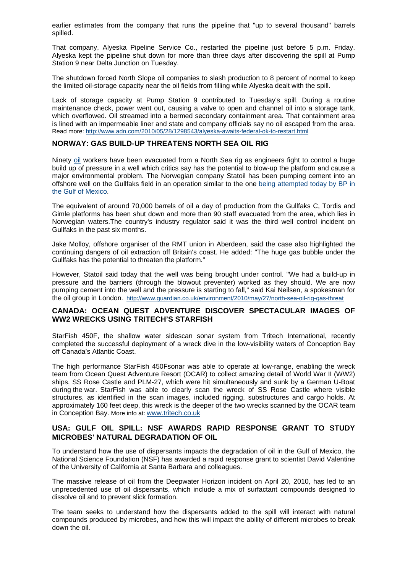earlier estimates from the company that runs the pipeline that "up to several thousand" barrels spilled.

That company, Alyeska Pipeline Service Co., restarted the pipeline just before 5 p.m. Friday. Alyeska kept the pipeline shut down for more than three days after discovering the spill at Pump Station 9 near Delta Junction on Tuesday.

The shutdown forced North Slope oil companies to slash production to 8 percent of normal to keep the limited oil-storage capacity near the oil fields from filling while Alyeska dealt with the spill.

maintenance check, power went out, causing a valve to open and channel oil into a storage tank, which overflowed. Oil streamed into a bermed secondary containment area. That containment area is lined with an impermeable liner and state and company officials say no oil escaped from the area. Read more: http://www.adn.com/2010/05/28/1298543/alyeska-awaits-federal-ok-to-restart.html Lack of storage capacity at Pump Station 9 contributed to Tuesday's spill. During a routine

#### **[NORWAY: GAS BUILD-UP THREATENS NORTH SEA OIL RIG](http://www.guardian.co.uk/business/oil)**

[Ninety](http://www.guardian.co.uk/business/oil) oil [workers have been evacuated from a North Sea rig as engineers fight to control a huge](http://www.guardian.co.uk/environment/blog/2010/may/27/bp-oil-spill-top-kill)  [build up of pressure](http://www.guardian.co.uk/environment/blog/2010/may/27/bp-oil-spill-top-kill) in a well which critics say has the potential to blow-up the platform and cause a major environmental problem. The Norwegian company Statoil has been pumping cement into an offshore well on the Gullfaks field in an operation similar to the one being attempted today by BP in the Gulf of Mexico.

The equivalent of around 70,000 barrels of oil a day of production from the Gullfaks C, Tordis and Gimle platforms has been shut down and more than 90 staff evacuated from the area, which lies in Norwegian waters.The country's industry regulator said it was the third well control incident on Gullfaks in the past six months.

Jake Molloy, offshore organiser of the RMT union in Aberdeen, said the case also highlighted the continuing dangers of oil extraction off Britain's coast. He added: "The huge gas bubble under the Gullfaks has the potential to threaten the platform."

However, Statoil said today that the well was being brought under control. "We had a build-up in the oil group in London. http://www.guardian.co.uk/environment/2010/may/27/north-sea-oil-rig-gas-threat pressure and the barriers (through the blowout preventer) worked as they should. We are now pumping cement into the well and the pressure is starting to fall," said Kai Neilsen, a spokesman for

#### **CANADA: OCEAN QUEST ADVENTURE DISCOVER SPECTACULAR IMAGES OF WW2 WRECKS USING TRITECH'S STARFISH**

StarFish 450F, the shallow water sidescan sonar system from Tritech International, recently completed the successful deployment of a wreck dive in the low-visibility waters of Conception Bay off Canada's Atlantic Coast.

during the war. StarFish was able to clearly scan the wreck of SS Rose Castle where visible structures, as identified in the scan images, included rigging, substructures and cargo holds. At The high performance StarFish 450Fsonar was able to operate at low-range, enabling the wreck team from Ocean Quest Adventure Resort (OCAR) to collect amazing detail of World War II (WW2) ships, SS Rose Castle and PLM-27, which were hit simultaneously and sunk by a German U-Boat approximately 160 feet deep, this wreck is the deeper of the two wrecks scanned by the OCAR team in Conception Bay. More info at: www.tritech.co.uk

#### **USA: GULF OIL SPILL: NSF AWARDS RAPID RESPONSE GRANT TO STUDY MICROBES' NATURAL DEGRADATION OF OIL**

To understand how the use of dispersants impacts the degradation of oil in the Gulf of Mexico, the National Science Foundation (NSF) has awarded a rapid response grant to scientist David Valentine of the University of California at Santa Barbara and colleagues.

The massive release of oil from the Deepwater Horizon incident on April 20, 2010, has led to an unprecedented use of oil dispersants, which include a mix of surfactant compounds designed to dissolve oil and to prevent slick formation.

The team seeks to understand how the dispersants added to the spill will interact with natural compounds produced by microbes, and how this will impact the ability of different microbes to break down the oil.